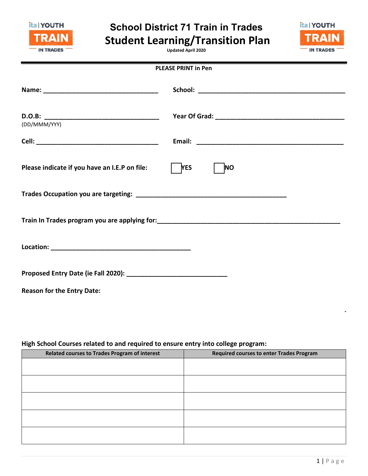

## **School District 71 Train in Trades Student Learning/Transition Plan**

ita | YOUTH RAI **IN TRADES** 

**Updated April 2020**

| <b>PLEASE PRINT in Pen</b>                    |                         |  |  |  |  |
|-----------------------------------------------|-------------------------|--|--|--|--|
|                                               |                         |  |  |  |  |
| (DD/MMM/YYY)                                  |                         |  |  |  |  |
|                                               |                         |  |  |  |  |
| Please indicate if you have an I.E.P on file: | <b>YES</b><br><b>NO</b> |  |  |  |  |
|                                               |                         |  |  |  |  |
|                                               |                         |  |  |  |  |
|                                               |                         |  |  |  |  |
|                                               |                         |  |  |  |  |
| <b>Reason for the Entry Date:</b>             |                         |  |  |  |  |

## **High School Courses related to and required to ensure entry into college program:**

| Related courses to Trades Program of interest | <b>Required courses to enter Trades Program</b> |  |  |  |  |
|-----------------------------------------------|-------------------------------------------------|--|--|--|--|
|                                               |                                                 |  |  |  |  |
|                                               |                                                 |  |  |  |  |
|                                               |                                                 |  |  |  |  |
|                                               |                                                 |  |  |  |  |
|                                               |                                                 |  |  |  |  |
|                                               |                                                 |  |  |  |  |
|                                               |                                                 |  |  |  |  |
|                                               |                                                 |  |  |  |  |
|                                               |                                                 |  |  |  |  |
|                                               |                                                 |  |  |  |  |

 $\mathcal{L} = \{ \mathcal{L} \mid \mathcal{L} \in \mathcal{L} \}$